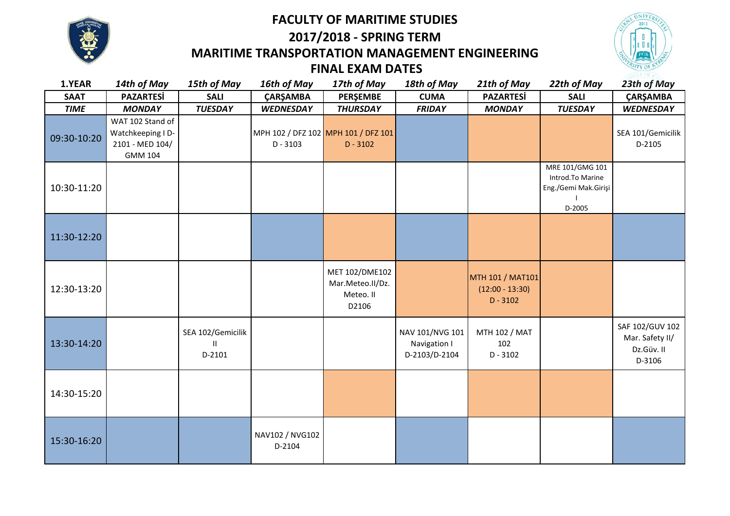



# **2017/2018 - SPRING TERM MARITIME TRANSPORTATION MANAGEMENT ENGINEERING**



## **FINAL EXAM DATES**

| 1.YEAR      | 14th of May                                                                | 15th of May                       | 16th of May               | 17th of May                                              | 18th of May                                      | 21th of May                                         | 22th of May                                                           | 23th of May                                                |
|-------------|----------------------------------------------------------------------------|-----------------------------------|---------------------------|----------------------------------------------------------|--------------------------------------------------|-----------------------------------------------------|-----------------------------------------------------------------------|------------------------------------------------------------|
| <b>SAAT</b> | <b>PAZARTESİ</b>                                                           | <b>SALI</b>                       | <b>ÇARŞAMBA</b>           | PERŞEMBE                                                 | <b>CUMA</b>                                      | <b>PAZARTESİ</b>                                    | <b>SALI</b>                                                           | ÇARŞAMBA                                                   |
| <b>TIME</b> | <b>MONDAY</b>                                                              | <b>TUESDAY</b>                    | <b>WEDNESDAY</b>          | <b>THURSDAY</b>                                          | <b>FRIDAY</b>                                    | <b>MONDAY</b>                                       | <b>TUESDAY</b>                                                        | <b>WEDNESDAY</b>                                           |
| 09:30-10:20 | WAT 102 Stand of<br>Watchkeeping I D-<br>2101 - MED 104/<br><b>GMM 104</b> |                                   | $D - 3103$                | MPH 102 / DFZ 102 MPH 101 / DFZ 101<br>$D - 3102$        |                                                  |                                                     |                                                                       | SEA 101/Gemicilik<br>D-2105                                |
| 10:30-11:20 |                                                                            |                                   |                           |                                                          |                                                  |                                                     | MRE 101/GMG 101<br>Introd.To Marine<br>Eng./Gemi Mak.Girişi<br>D-2005 |                                                            |
| 11:30-12:20 |                                                                            |                                   |                           |                                                          |                                                  |                                                     |                                                                       |                                                            |
| 12:30-13:20 |                                                                            |                                   |                           | MET 102/DME102<br>Mar.Meteo.II/Dz.<br>Meteo. II<br>D2106 |                                                  | MTH 101 / MAT101<br>$(12:00 - 13:30)$<br>$D - 3102$ |                                                                       |                                                            |
| 13:30-14:20 |                                                                            | SEA 102/Gemicilik<br>Ш.<br>D-2101 |                           |                                                          | NAV 101/NVG 101<br>Navigation I<br>D-2103/D-2104 | MTH 102 / MAT<br>102<br>$D - 3102$                  |                                                                       | SAF 102/GUV 102<br>Mar. Safety II/<br>Dz.Güv. II<br>D-3106 |
| 14:30-15:20 |                                                                            |                                   |                           |                                                          |                                                  |                                                     |                                                                       |                                                            |
| 15:30-16:20 |                                                                            |                                   | NAV102 / NVG102<br>D-2104 |                                                          |                                                  |                                                     |                                                                       |                                                            |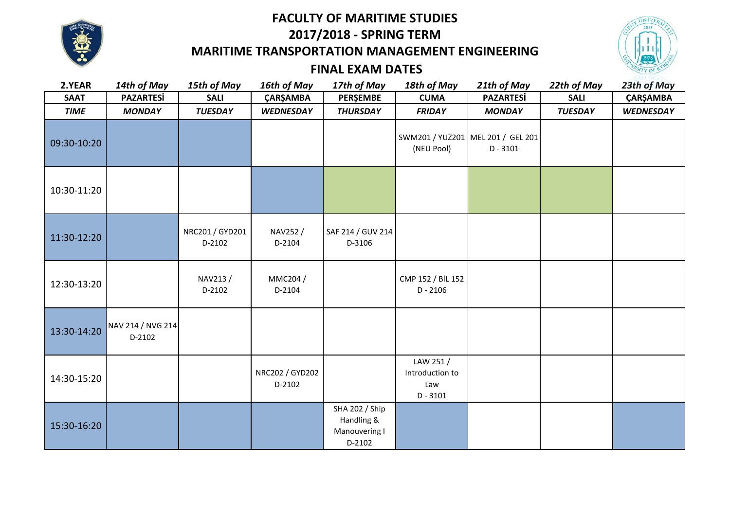

### **FACULTY OF MARITIME STUDIES**

**2017/2018 - SPRING TERM** 

## **MARITIME TRANSPORTATION MANAGEMENT ENGINEERING**



#### **FINAL EXAM DATES**

| 2.YEAR      | 14th of May                 | 15th of May               | 16th of May               | 17th of May                                                    | 18th of May                                      | 21th of May      | 22th of May    | 23th of May      |
|-------------|-----------------------------|---------------------------|---------------------------|----------------------------------------------------------------|--------------------------------------------------|------------------|----------------|------------------|
| <b>SAAT</b> | <b>PAZARTESİ</b>            | <b>SALI</b>               | ÇARŞAMBA                  | PERŞEMBE                                                       | <b>CUMA</b>                                      | <b>PAZARTESİ</b> | <b>SALI</b>    | ÇARŞAMBA         |
| <b>TIME</b> | <b>MONDAY</b>               | <b>TUESDAY</b>            | <b>WEDNESDAY</b>          | <b>THURSDAY</b>                                                | <b>FRIDAY</b>                                    | <b>MONDAY</b>    | <b>TUESDAY</b> | <b>WEDNESDAY</b> |
| 09:30-10:20 |                             |                           |                           |                                                                | SWM201 / YUZ201 MEL 201 / GEL 201<br>(NEU Pool)  | $D - 3101$       |                |                  |
| 10:30-11:20 |                             |                           |                           |                                                                |                                                  |                  |                |                  |
| 11:30-12:20 |                             | NRC201 / GYD201<br>D-2102 | NAV252/<br>D-2104         | SAF 214 / GUV 214<br>D-3106                                    |                                                  |                  |                |                  |
| 12:30-13:20 |                             | NAV213/<br>D-2102         | MMC204 /<br>D-2104        |                                                                | CMP 152 / BİL 152<br>$D - 2106$                  |                  |                |                  |
| 13:30-14:20 | NAV 214 / NVG 214<br>D-2102 |                           |                           |                                                                |                                                  |                  |                |                  |
| 14:30-15:20 |                             |                           | NRC202 / GYD202<br>D-2102 |                                                                | LAW 251/<br>Introduction to<br>Law<br>$D - 3101$ |                  |                |                  |
| 15:30-16:20 |                             |                           |                           | <b>SHA 202 / Ship</b><br>Handling &<br>Manouvering I<br>D-2102 |                                                  |                  |                |                  |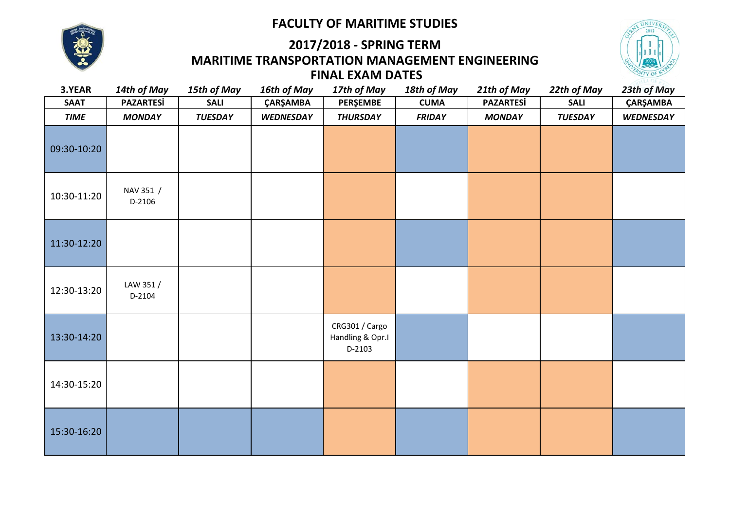#### **FACULTY OF MARITIME STUDIES**



## **MARITIME TRANSPORTATION MANAGEMENT ENGINEERING 2017/2018 - SPRING TERM FINAL EXAM DATES**



| 3.YEAR      | 14th of May         | 15th of May    | 16th of May      | 17th of May                                  | 18th of May   | 21th of May      | 22th of May    | 23th of May      |
|-------------|---------------------|----------------|------------------|----------------------------------------------|---------------|------------------|----------------|------------------|
| <b>SAAT</b> | <b>PAZARTESİ</b>    | <b>SALI</b>    | ÇARŞAMBA         | PERŞEMBE                                     | <b>CUMA</b>   | <b>PAZARTESİ</b> | <b>SALI</b>    | ÇARŞAMBA         |
| <b>TIME</b> | <b>MONDAY</b>       | <b>TUESDAY</b> | <b>WEDNESDAY</b> | <b>THURSDAY</b>                              | <b>FRIDAY</b> | <b>MONDAY</b>    | <b>TUESDAY</b> | <b>WEDNESDAY</b> |
| 09:30-10:20 |                     |                |                  |                                              |               |                  |                |                  |
| 10:30-11:20 | NAV 351 /<br>D-2106 |                |                  |                                              |               |                  |                |                  |
| 11:30-12:20 |                     |                |                  |                                              |               |                  |                |                  |
| 12:30-13:20 | LAW 351/<br>D-2104  |                |                  |                                              |               |                  |                |                  |
| 13:30-14:20 |                     |                |                  | CRG301 / Cargo<br>Handling & Opr.I<br>D-2103 |               |                  |                |                  |
| 14:30-15:20 |                     |                |                  |                                              |               |                  |                |                  |
| 15:30-16:20 |                     |                |                  |                                              |               |                  |                |                  |